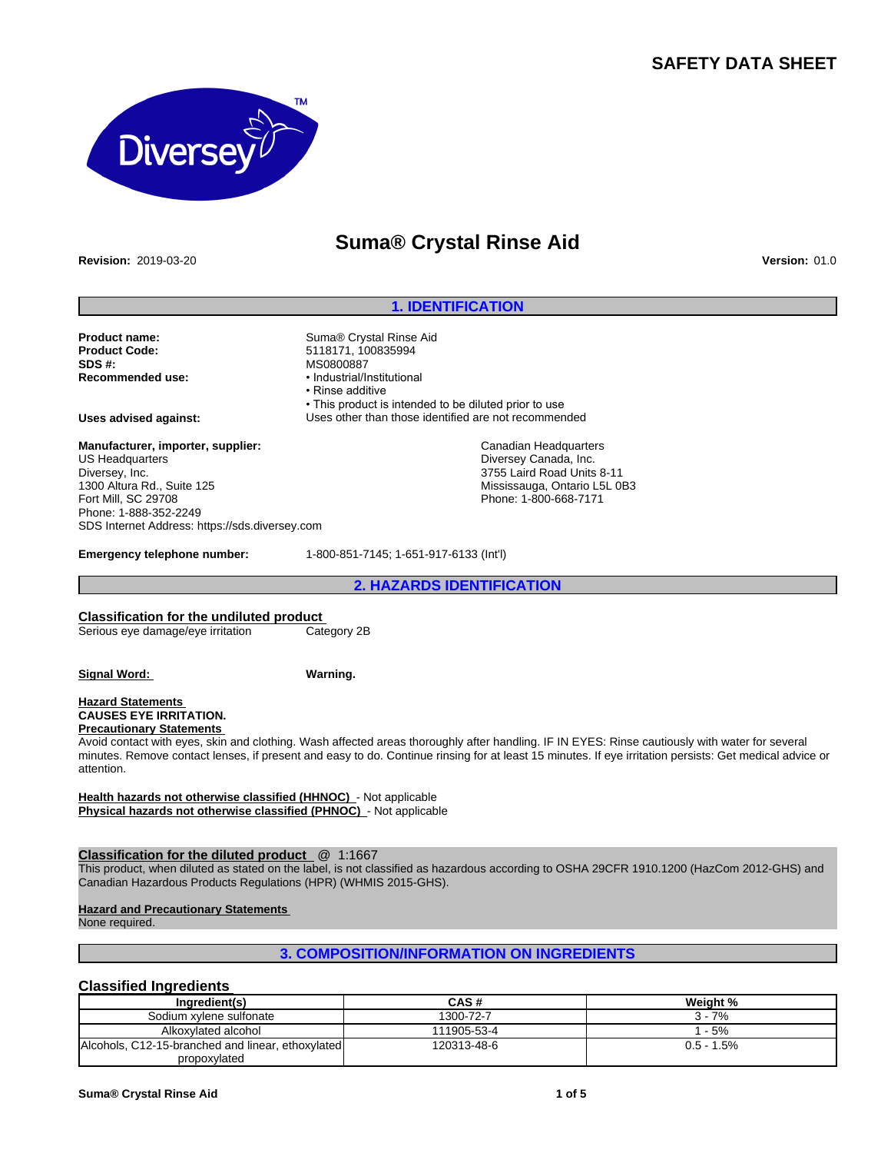# **SAFETY DATA SHEET**



# **Suma® Crystal Rinse Aid**

**Revision:** 2019-03-20 **Version:** 01.0

## **1. IDENTIFICATION**

**Product name:** Suma® Crystal Rinse Aid<br> **Product Code:** S118171, 100835994 **Product Code:** 5118171, 100835994<br> **SDS #:** MS0800887 **SDS #:** MS0800887<br> **Recommended use:** Mecommended use:

**Recommended use:** •Industrial/Institutional • Rinse additive • This product is intended to be diluted prior to use **Uses advised against:** Uses other than those identified are not recommended

> Canadian Headquarters Diversey Canada, Inc. 3755 Laird Road Units 8-11 Mississauga, Ontario L5L 0B3 Phone: 1-800-668-7171

**Manufacturer, importer, supplier:** US Headquarters Diversey, Inc. 1300 Altura Rd., Suite 125 Fort Mill, SC 29708 Phone: 1-888-352-2249 SDS Internet Address: https://sds.diversey.com

**Emergency telephone number:** 1-800-851-7145; 1-651-917-6133 (Int'l)

**2. HAZARDS IDENTIFICATION**

#### **Classification for the undiluted product**

Serious eye damage/eye irritation Category 2B

**Signal Word: Warning.**

#### **Hazard Statements CAUSES EYE IRRITATION. Precautionary Statements**

Avoid contact with eyes, skin and clothing. Wash affected areas thoroughly after handling. IF IN EYES: Rinse cautiously with water for several minutes. Remove contact lenses, if present and easy to do. Continue rinsing for at least 15 minutes. If eye irritation persists: Get medical advice or attention.

**Health hazards not otherwise classified (HHNOC)** - Not applicable **Physical hazards not otherwise classified (PHNOC)** - Not applicable

## **Classification for the diluted product** @ 1:1667

This product, when diluted as stated on the label, is not classified as hazardous according to OSHA 29CFR 1910.1200 (HazCom 2012-GHS) and Canadian Hazardous Products Regulations (HPR) (WHMIS 2015-GHS).

#### **Hazard and Precautionary Statements**

None required.

## **3. COMPOSITION/INFORMATION ON INGREDIENTS**

## **Classified Ingredients**

| Ingredient(s)                                     | CAS#        | Weight %     |
|---------------------------------------------------|-------------|--------------|
| Sodium xylene sulfonate                           | 1300-72-7   | 7%<br>3 -    |
| Alkoxylated alcohol                               | 111905-53-4 | $-5%$        |
| Alcohols, C12-15-branched and linear, ethoxylated | 120313-48-6 | $0.5 - 1.5%$ |
| propoxylated                                      |             |              |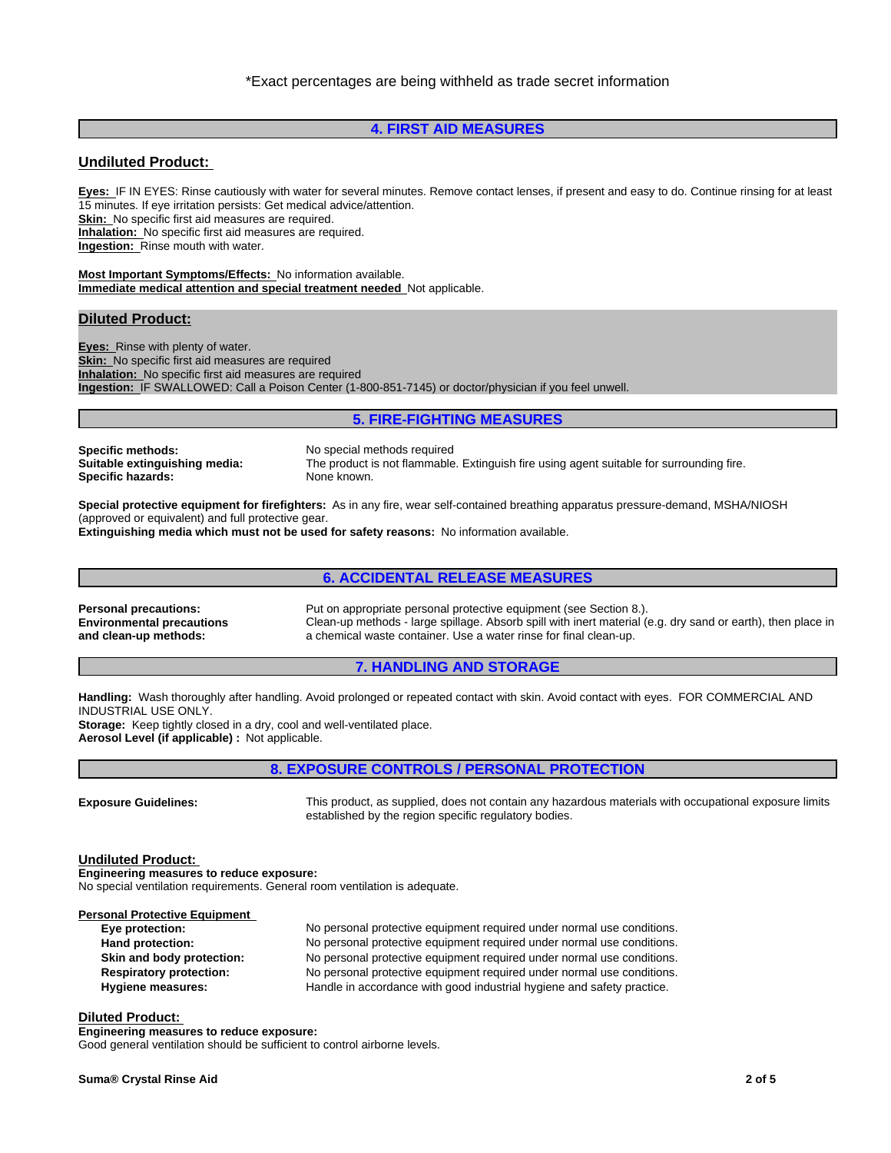## **4. FIRST AID MEASURES**

## **Undiluted Product:**

**Eyes:** IF IN EYES: Rinse cautiously with water for several minutes. Remove contact lenses, if present and easy to do. Continue rinsing for at least 15 minutes. If eye irritation persists: Get medical advice/attention.

**Skin:** No specific first aid measures are required.

**Inhalation:** No specific first aid measures are required.

**Ingestion:** Rinse mouth with water.

**Most Important Symptoms/Effects:** No information available. **Immediate medical attention and special treatment needed** Not applicable.

#### **Diluted Product:**

**Eyes:** Rinse with plenty of water. **Skin:** No specific first aid measures are required **Inhalation:** No specific first aid measures are required **Ingestion:** IF SWALLOWED: Call a Poison Center (1-800-851-7145) or doctor/physician if you feel unwell.

#### **5. FIRE-FIGHTING MEASURES**

**Specific methods:** No special methods required<br> **Suitable extinguishing media:** The product is not flammable **Specific hazards:** None known.

The product is not flammable. Extinguish fire using agent suitable for surrounding fire.

**Special protective equipment for firefighters:** As in any fire, wear self-contained breathing apparatus pressure-demand, MSHA/NIOSH (approved or equivalent) and full protective gear.

**Extinguishing media which must not be used for safety reasons:** No information available.

## **6. ACCIDENTAL RELEASE MEASURES**

**Environmental precautions and clean-up methods:**

**Personal precautions:** Put on appropriate personal protective equipment (see Section 8.). Clean-up methods - large spillage. Absorb spill with inert material (e.g. dry sand or earth), then place in a chemical waste container. Use a water rinse for final clean-up.

## **7. HANDLING AND STORAGE**

**Handling:** Wash thoroughly after handling. Avoid prolonged or repeated contact with skin. Avoid contact with eyes. FOR COMMERCIAL AND INDUSTRIAL USE ONLY.

**Storage:** Keep tightly closed in a dry, cool and well-ventilated place. **Aerosol Level (if applicable) :** Not applicable.

## **8. EXPOSURE CONTROLS / PERSONAL PROTECTION**

**Exposure Guidelines:** This product, as supplied, does not contain any hazardous materials with occupational exposure limits established by the region specific regulatory bodies.

#### **Undiluted Product:**

**Engineering measures to reduce exposure:** No special ventilation requirements. General room ventilation is adequate.

**Personal Protective Equipment** 

**Eye protection:** No personal protective equipment required under normal use conditions. **Hand protection:** No personal protective equipment required under normal use conditions. **Skin and body protection:** No personal protective equipment required under normal use conditions. **Respiratory protection:** No personal protective equipment required under normal use conditions. **Hygiene measures:** Handle in accordance with good industrial hygiene and safety practice.

#### **Diluted Product:**

**Engineering measures to reduce exposure:** Good general ventilation should be sufficient to control airborne levels.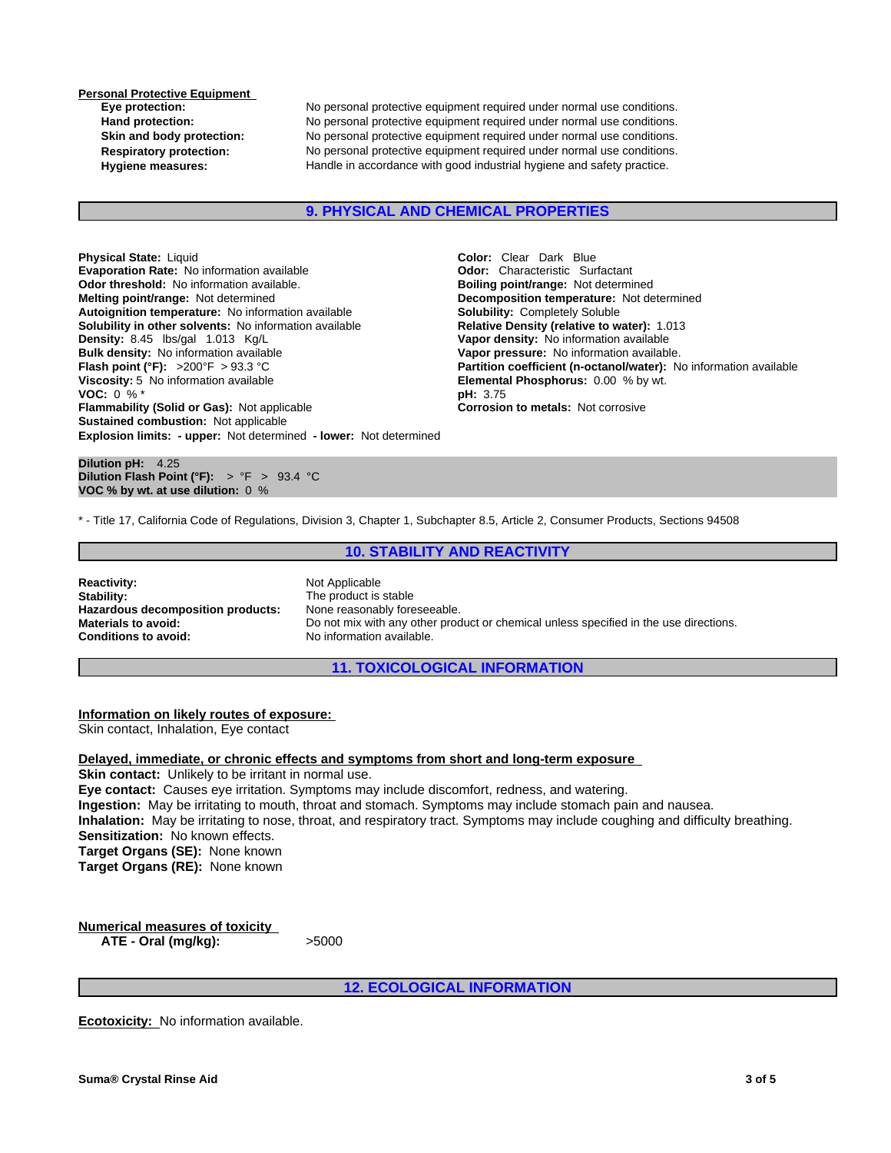**Personal Protective Equipment** 

**Eye protection:** No personal protective equipment required under normal use conditions. **Hand protection:** No personal protective equipment required under normal use conditions. **Skin and body protection:** No personal protective equipment required under normal use conditions. **Respiratory protection:** No personal protective equipment required under normal use conditions. Hygiene measures: **Handle in accordance with good industrial hygiene and safety practice.** 

#### **9. PHYSICAL AND CHEMICAL PROPERTIES**

**Explosion limits: - upper:** Not determined **- lower:** Not determined **Physical State:** Liquid **Color:** Clear Dark Blue **Color:** Clear Dark Blue **Color:** Clear Dark Blue **Color:** Characteristic Surfactant **Evaporation Rate:** No information available **Odor threshold:** No information available. **Boiling point/range:** Not determined **Melting point/range:** Not determined **Decomposition temperature:** Not determined **Autoiqnition temperature:** Not information available **Burger Communisty Completely Soluble Autoignition temperature:** No information available **Solubility in other solvents:** No information available **Relative Density (relative to water):** 1.013 **Density: 8.45** Ibs/gal 1.013 Kg/L **Density: No information available Bulk density:** No information available **Vapor pressure:** No information available.<br>**Flash point (°F):** >200°F > 93.3 °C **Alter and Alter Point Automation coefficient (n-octanol/water): N Viscosity:** 5 No information available **Elemental Phosphorus:** 0.00 % by wt.<br>**VOC:** 0 % \* **VOC:** 0 % \*<br>**Flammability (Solid or Gas):** Not applicable **by the set of the corrosion of metals:** Not corrosive **Flammability (Solid or Gas): Not applicable Sustained combustion:** Not applicable

**Vapor density:** No information available **Partition coefficient (n-octanol/water):** No information available

**Dilution pH:** 4.25 **Dilution Flash Point (°F):** > °F > 93.4 °C **VOC % by wt. at use dilution:** 0 %

\* - Title 17, California Code of Regulations, Division 3, Chapter 1, Subchapter 8.5, Article 2, Consumer Products, Sections 94508

**10. STABILITY AND REACTIVITY**

**Reactivity:** Not Applicable **Stability:** The product is stable<br> **Hazardous decomposition products:** None reasonably foreseeable. **Hazardous decomposition products:**<br>Materials to avoid: **Conditions to avoid:** No information available.

Do not mix with any other product or chemical unless specified in the use directions.

**11. TOXICOLOGICAL INFORMATION**

**Information on likely routes of exposure:**

Skin contact, Inhalation, Eye contact

**Delayed, immediate, or chronic effects and symptoms from short and long-term exposure Skin contact:** Unlikely to be irritant in normal use.

**Eye contact:** Causes eye irritation. Symptoms may include discomfort, redness, and watering. **Ingestion:** May be irritating to mouth, throat and stomach. Symptoms may include stomach pain and nausea. **Inhalation:** May be irritating to nose, throat, and respiratory tract. Symptoms may include coughing and difficulty breathing. **Sensitization:** No known effects. **Target Organs (SE):** None known **Target Organs (RE):** None known

**Numerical measures of toxicity ATE - Oral (mg/kg):** >5000

**12. ECOLOGICAL INFORMATION**

**Ecotoxicity:** No information available.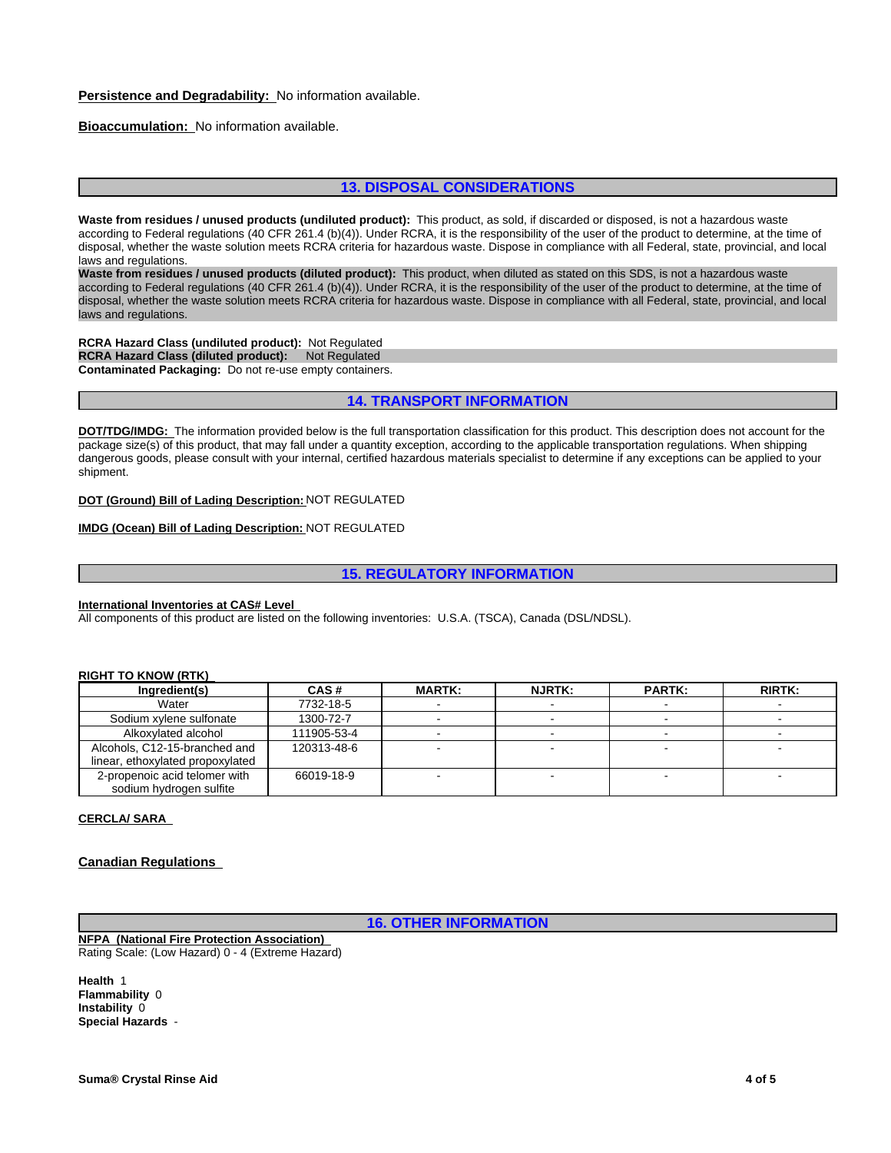#### **Persistence and Degradability:** No information available.

#### **Bioaccumulation:** No information available.

## **13. DISPOSAL CONSIDERATIONS**

**Waste from residues / unused products (undiluted product):** This product, as sold, if discarded or disposed, is not a hazardous waste according to Federal regulations (40 CFR 261.4 (b)(4)). Under RCRA, it is the responsibility of the user of the product to determine, at the time of disposal, whether the waste solution meets RCRA criteria for hazardous waste. Dispose in compliance with all Federal, state, provincial, and local laws and regulations.

**Waste from residues / unused products (diluted product):** This product, when diluted as stated on this SDS, is not a hazardous waste according to Federal regulations (40 CFR 261.4 (b)(4)). Under RCRA, it is the responsibility of the user of the product to determine, at the time of disposal, whether the waste solution meets RCRA criteria for hazardous waste. Dispose in compliance with all Federal, state, provincial, and local laws and regulations.

**RCRA Hazard Class (undiluted product):** Not Regulated **RCRA Hazard Class (diluted product):** Not Regulated **Contaminated Packaging:** Do not re-use empty containers.

## **14. TRANSPORT INFORMATION**

**DOT/TDG/IMDG:** The information provided below is the full transportation classification for this product. This description does not account for the package size(s) of this product, that may fall under a quantity exception, according to the applicable transportation regulations. When shipping dangerous goods, please consult with your internal, certified hazardous materials specialist to determine if any exceptions can be applied to your shipment.

#### **DOT (Ground) Bill of Lading Description:** NOT REGULATED

## **IMDG (Ocean) Bill of Lading Description:** NOT REGULATED

#### **15. REGULATORY INFORMATION**

## **International Inventories at CAS# Level**

All components of this product are listed on the following inventories: U.S.A. (TSCA), Canada (DSL/NDSL).

#### **RIGHT TO KNOW (RTK)**

| Ingredient(s)                    | CAS#        | <b>MARTK:</b> | <b>NJRTK:</b> | <b>PARTK:</b> | <b>RIRTK:</b> |
|----------------------------------|-------------|---------------|---------------|---------------|---------------|
| Water                            | 7732-18-5   |               |               |               |               |
| Sodium xylene sulfonate          | 1300-72-7   |               |               |               |               |
| Alkoxylated alcohol              | 111905-53-4 |               |               |               |               |
| Alcohols, C12-15-branched and    | 120313-48-6 |               |               |               |               |
| linear, ethoxylated propoxylated |             |               |               |               |               |
| 2-propenoic acid telomer with    | 66019-18-9  |               |               |               |               |
| sodium hydrogen sulfite          |             |               |               |               |               |

#### **CERCLA/ SARA**

#### **Canadian Regulations**

**16. OTHER INFORMATION**

**NFPA (National Fire Protection Association)**  Rating Scale: (Low Hazard) 0 - 4 (Extreme Hazard)

**Health** 1 **Flammability** 0 **Instability** 0 **Special Hazards** -